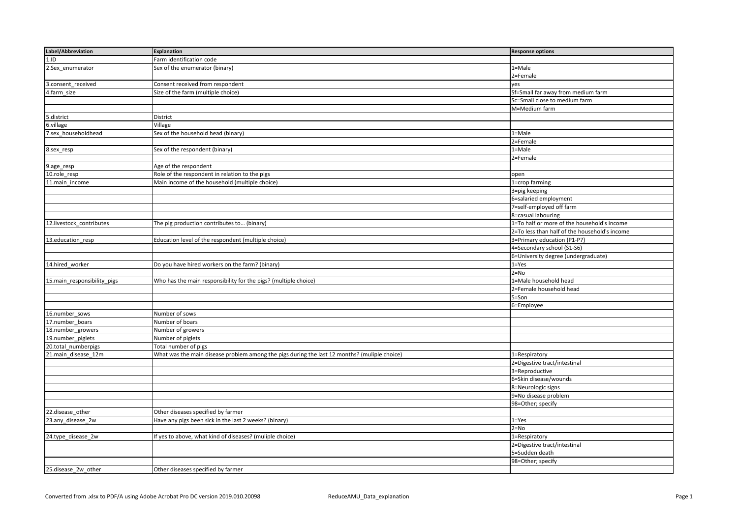| Label/Abbreviation          | <b>Explanation</b>                                                                           | <b>Response options</b>                       |
|-----------------------------|----------------------------------------------------------------------------------------------|-----------------------------------------------|
| 1.ID                        | Farm identification code                                                                     |                                               |
| 2.Sex_enumerator            | Sex of the enumerator (binary)                                                               | 1=Male                                        |
|                             |                                                                                              | 2=Female                                      |
| 3.consent_received          | Consent received from respondent                                                             | yes                                           |
| 4.farm_size                 | Size of the farm (multiple choice)                                                           | Sf=Small far away from medium farm            |
|                             |                                                                                              | Sc=Small close to medium farm                 |
|                             |                                                                                              | M=Medium farm                                 |
| 5.district                  | <b>District</b>                                                                              |                                               |
| 6.village                   | Village                                                                                      |                                               |
| 7.sex_householdhead         | Sex of the household head (binary)                                                           | 1=Male                                        |
|                             |                                                                                              | 2=Female                                      |
| 8.sex_resp                  | Sex of the respondent (binary)                                                               | 1=Male                                        |
|                             |                                                                                              | 2=Female                                      |
| 9.age_resp                  | Age of the respondent                                                                        |                                               |
| 10.role_resp                | Role of the respondent in relation to the pigs                                               | open                                          |
| 11.main_income              | Main income of the household (multiple choice)                                               | 1=crop farming                                |
|                             |                                                                                              | 3=pig keeping                                 |
|                             |                                                                                              | 6=salaried employment                         |
|                             |                                                                                              | 7=self-employed off farm                      |
|                             |                                                                                              | 8=casual labouring                            |
| 12.livestock_contributes    | The pig production contributes to (binary)                                                   | 1=To half or more of the household's income   |
|                             |                                                                                              | 2=To less than half of the household's income |
| 13.education_resp           | Education level of the respondent (multiple choice)                                          | 3=Primary education (P1-P7)                   |
|                             |                                                                                              | 4=Secondary school (S1-S6)                    |
|                             |                                                                                              | 6=University degree (undergraduate)           |
| 14.hired_worker             | Do you have hired workers on the farm? (binary)                                              | $1 = Yes$                                     |
|                             |                                                                                              | $2 = No$                                      |
| 15.main_responsibility_pigs | Who has the main responsibility for the pigs? (multiple choice)                              | 1=Male household head                         |
|                             |                                                                                              | 2=Female household head                       |
|                             |                                                                                              | $5 = Son$                                     |
|                             |                                                                                              | 6=Employee                                    |
| 16.number_sows              | Number of sows                                                                               |                                               |
| 17.number_boars             | Number of boars                                                                              |                                               |
| 18.number_growers           | Number of growers                                                                            |                                               |
| 19.number_piglets           | Number of piglets                                                                            |                                               |
| 20.total_numberpigs         | Total number of pigs                                                                         |                                               |
| 21.main_disease_12m         | What was the main disease problem among the pigs during the last 12 months? (muliple choice) | 1=Respiratory                                 |
|                             |                                                                                              | 2=Digestive tract/intestinal                  |
|                             |                                                                                              | 3=Reproductive                                |
|                             |                                                                                              | 6=Skin disease/wounds                         |
|                             |                                                                                              | 8=Neurologic signs                            |
|                             |                                                                                              | 9=No disease problem                          |
|                             |                                                                                              | 98=Other; specify                             |
| 22.disease_other            | Other diseases specified by farmer                                                           |                                               |
| 23.any_disease_2w           | Have any pigs been sick in the last 2 weeks? (binary)                                        | $1 = Yes$                                     |
|                             |                                                                                              | $2 = No$                                      |
| 24.type_disease_2w          | If yes to above, what kind of diseases? (muliple choice)                                     | 1=Respiratory                                 |
|                             |                                                                                              | 2=Digestive tract/intestinal                  |
|                             |                                                                                              | 5=Sudden death                                |
|                             |                                                                                              | 98=Other; specify                             |
| 25.disease_2w_other         | Other diseases specified by farmer                                                           |                                               |
|                             |                                                                                              |                                               |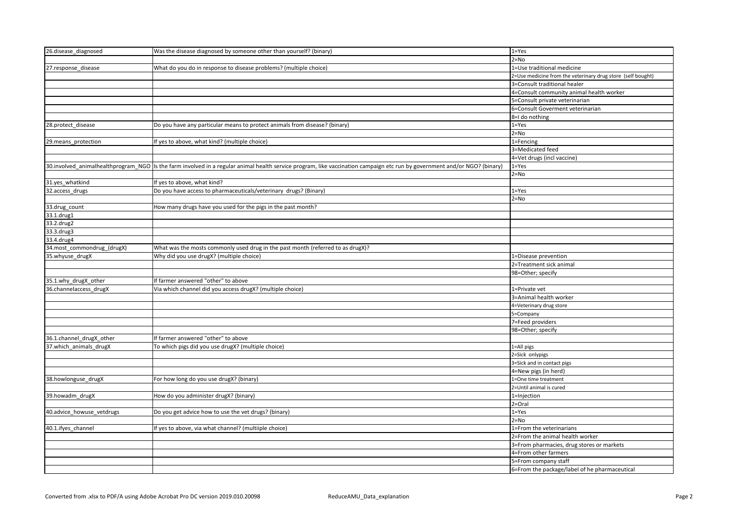| 26.disease_diagnosed       | Was the disease diagnosed by someone other than yourself? (binary)                                                                                                         | $1 = Yes$                                                   |
|----------------------------|----------------------------------------------------------------------------------------------------------------------------------------------------------------------------|-------------------------------------------------------------|
|                            |                                                                                                                                                                            | $2 = No$                                                    |
| 27.response_disease        | What do you do in response to disease problems? (multiple choice)                                                                                                          | 1=Use traditional medicine                                  |
|                            |                                                                                                                                                                            | 2=Use medicine from the veterinary drug store (self bought) |
|                            |                                                                                                                                                                            | 3=Consult traditional healer                                |
|                            |                                                                                                                                                                            | 4=Consult community animal health worker                    |
|                            |                                                                                                                                                                            | 5=Consult private veterinarian                              |
|                            |                                                                                                                                                                            | 6=Consult Goverment veterinarian                            |
|                            |                                                                                                                                                                            | 8=I do nothing                                              |
| 28.protect_disease         | [Do you have any particular means to protect animals from disease? (binary)                                                                                                | $1 = Yes$                                                   |
|                            |                                                                                                                                                                            | $2 = No$                                                    |
| 29.means_protection        | If yes to above, what kind? (multiple choice)                                                                                                                              | 1=Fencing                                                   |
|                            |                                                                                                                                                                            | 3=Medicated feed                                            |
|                            |                                                                                                                                                                            | 4=Vet drugs (incl vaccine)                                  |
|                            | 30.involved_animalhealthprogram_NGO  Is the farm involved in a regular animal health service program, like vaccination campaign etc run by government and/or NGO? (binary) | $1 = Yes$                                                   |
|                            |                                                                                                                                                                            | $2 = No$                                                    |
| 31.yes_whatkind            | If yes to above, what kind?                                                                                                                                                |                                                             |
|                            | Do you have access to pharmaceuticals/veterinary drugs? (Binary)                                                                                                           | $1 = Yes$                                                   |
| 32.access_drugs            |                                                                                                                                                                            |                                                             |
|                            |                                                                                                                                                                            | $2 = No$                                                    |
| 33.drug_count              | How many drugs have you used for the pigs in the past month?                                                                                                               |                                                             |
| 33.1.drug1                 |                                                                                                                                                                            |                                                             |
| 33.2.drug2                 |                                                                                                                                                                            |                                                             |
| 33.3.drug3                 |                                                                                                                                                                            |                                                             |
| 33.4.drug4                 |                                                                                                                                                                            |                                                             |
| 34.most_commondrug_(drugX) | What was the mosts commonly used drug in the past month (referred to as drugX)?                                                                                            |                                                             |
| 35.whyuse_drugX            | Why did you use drugX? (multiple choice)                                                                                                                                   | 1=Disease prevention                                        |
|                            |                                                                                                                                                                            | 2=Treatment sick animal                                     |
|                            |                                                                                                                                                                            | 98=Other; specify                                           |
| 35.1.why_drugX_other       | If farmer answered "other" to above                                                                                                                                        |                                                             |
| 36.channelaccess_drugX     | Via which channel did you access drugX? (multiple choice)                                                                                                                  | 1=Private vet                                               |
|                            |                                                                                                                                                                            | 3=Animal health worker                                      |
|                            |                                                                                                                                                                            | 4=Veterinary drug store                                     |
|                            |                                                                                                                                                                            | 5=Company                                                   |
|                            |                                                                                                                                                                            | 7=Feed providers                                            |
|                            |                                                                                                                                                                            | 98=Other; specify                                           |
| 36.1.channel_drugX_other   | If farmer answered "other" to above                                                                                                                                        |                                                             |
| 37. which animals drugX    | To which pigs did you use drugX? (multiple choice)                                                                                                                         | 1=All pigs                                                  |
|                            |                                                                                                                                                                            | 2=Sick onlypigs                                             |
|                            |                                                                                                                                                                            | 3=Sick and in contact pigs                                  |
|                            |                                                                                                                                                                            | 4=New pigs (in herd)                                        |
| 38.howlonguse_drugX        | For how long do you use drugX? (binary)                                                                                                                                    | 1=One time treatment                                        |
|                            |                                                                                                                                                                            | 2=Until animal is cured                                     |
| 39.howadm_drugX            | How do you administer drugX? (binary)                                                                                                                                      | 1=Injection                                                 |
|                            |                                                                                                                                                                            | 2=Oral                                                      |
| 40.advice_howuse_vetdrugs  | Do you get advice how to use the vet drugs? (binary)                                                                                                                       | $1 = Yes$                                                   |
|                            |                                                                                                                                                                            | $2 = No$                                                    |
| 40.1.ifyes_channel         | If yes to above, via what channel? (multiiple choice)                                                                                                                      | 1=From the veterinarians                                    |
|                            |                                                                                                                                                                            | 2=From the animal health worker                             |
|                            |                                                                                                                                                                            | 3=From pharmacies, drug stores or markets                   |
|                            |                                                                                                                                                                            | 4=From other farmers                                        |
|                            |                                                                                                                                                                            | 5=From company staff                                        |
|                            |                                                                                                                                                                            | 6=From the package/label of he pharmaceutical               |
|                            |                                                                                                                                                                            |                                                             |